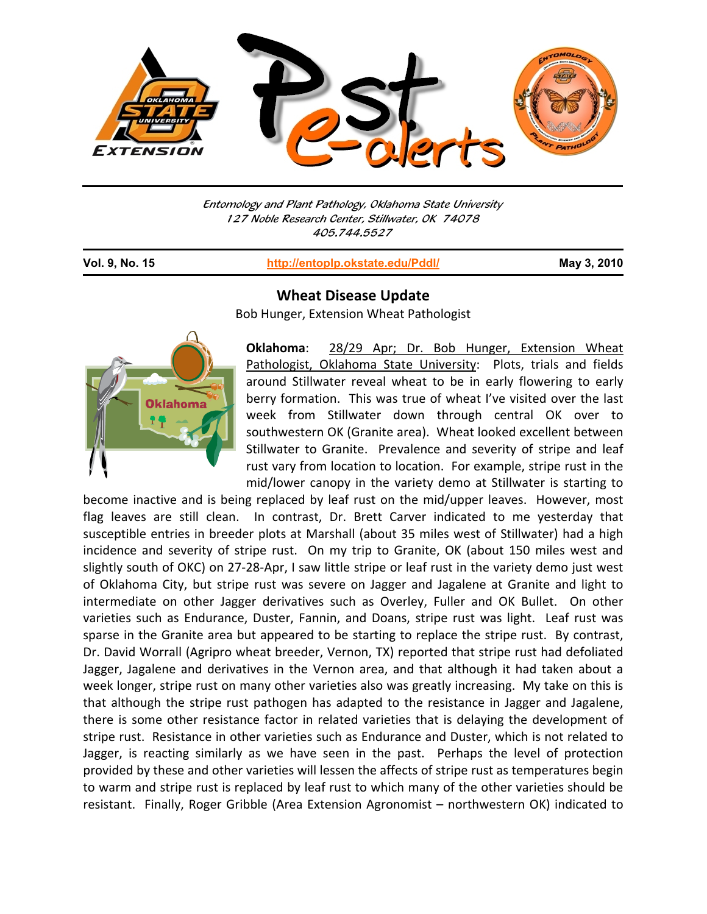

Entomology and Plant Pathology, Oklahoma State University 127 Noble Research Center, Stillwater, OK 74078 405.744.5527

j

**Vol. 9, No. 15 http://entoplp.okstate.edu/Pddl/ May 3, 2010**



**Wheat Disease Update**

Bob Hunger, Extension Wheat Pathologist

**Oklahoma**: 28/29 Apr; Dr. Bob Hunger, Extension Wheat Pathologist, Oklahoma State University: Plots, trials and fields around Stillwater reveal wheat to be in early flowering to early berry formation. This was true of wheat I've visited over the last week from Stillwater down through central OK over to southwestern OK (Granite area). Wheat looked excellent between Stillwater to Granite. Prevalence and severity of stripe and leaf rust vary from location to location. For example, stripe rust in the mid/lower canopy in the variety demo at Stillwater is starting to

become inactive and is being replaced by leaf rust on the mid/upper leaves. However, most flag leaves are still clean. In contrast, Dr. Brett Carver indicated to me yesterday that susceptible entries in breeder plots at Marshall (about 35 miles west of Stillwater) had a high incidence and severity of stripe rust. On my trip to Granite, OK (about 150 miles west and slightly south of OKC) on 27‐28‐Apr, I saw little stripe or leaf rust in the variety demo just west of Oklahoma City, but stripe rust was severe on Jagger and Jagalene at Granite and light to intermediate on other Jagger derivatives such as Overley, Fuller and OK Bullet. On other varieties such as Endurance, Duster, Fannin, and Doans, stripe rust was light. Leaf rust was sparse in the Granite area but appeared to be starting to replace the stripe rust. By contrast, Dr. David Worrall (Agripro wheat breeder, Vernon, TX) reported that stripe rust had defoliated Jagger, Jagalene and derivatives in the Vernon area, and that although it had taken about a week longer, stripe rust on many other varieties also was greatly increasing. My take on this is that although the stripe rust pathogen has adapted to the resistance in Jagger and Jagalene, there is some other resistance factor in related varieties that is delaying the development of stripe rust. Resistance in other varieties such as Endurance and Duster, which is not related to Jagger, is reacting similarly as we have seen in the past. Perhaps the level of protection provided by these and other varieties will lessen the affects of stripe rust as temperatures begin to warm and stripe rust is replaced by leaf rust to which many of the other varieties should be resistant. Finally, Roger Gribble (Area Extension Agronomist – northwestern OK) indicated to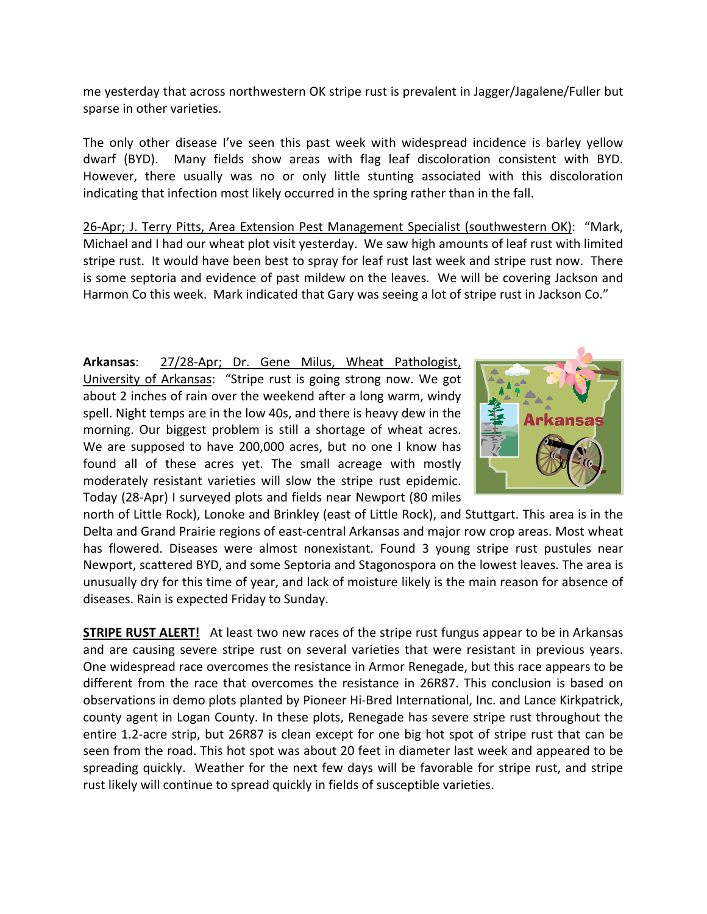me yesterday that across northwestern OK stripe rust is prevalent in Jagger/Jagalene/Fuller but sparse in other varieties.

The only other disease I've seen this past week with widespread incidence is barley yellow dwarf (BYD). Many fields show areas with flag leaf discoloration consistent with BYD. However, there usually was no or only little stunting associated with this discoloration indicating that infection most likely occurred in the spring rather than in the fall.

26-Apr; J. Terry Pitts, Area Extension Pest Management Specialist (southwestern OK): "Mark, Michael and I had our wheat plot visit yesterday. We saw high amounts of leaf rust with limited stripe rust. It would have been best to spray for leaf rust last week and stripe rust now. There is some septoria and evidence of past mildew on the leaves. We will be covering Jackson and Harmon Co this week. Mark indicated that Gary was seeing a lot of stripe rust in Jackson Co."

**Arkansas**: 27/28‐Apr; Dr. Gene Milus, Wheat Pathologist, University of Arkansas: "Stripe rust is going strong now. We got about 2 inches of rain over the weekend after a long warm, windy spell. Night temps are in the low 40s, and there is heavy dew in the morning. Our biggest problem is still a shortage of wheat acres. We are supposed to have 200,000 acres, but no one I know has found all of these acres yet. The small acreage with mostly moderately resistant varieties will slow the stripe rust epidemic. Today (28‐Apr) I surveyed plots and fields near Newport (80 miles



north of Little Rock), Lonoke and Brinkley (east of Little Rock), and Stuttgart. This area is in the Delta and Grand Prairie regions of east-central Arkansas and major row crop areas. Most wheat has flowered. Diseases were almost nonexistant. Found 3 young stripe rust pustules near Newport, scattered BYD, and some Septoria and Stagonospora on the lowest leaves. The area is unusually dry for this time of year, and lack of moisture likely is the main reason for absence of diseases. Rain is expected Friday to Sunday.

**STRIPE RUST ALERT!** At least two new races of the stripe rust fungus appear to be in Arkansas and are causing severe stripe rust on several varieties that were resistant in previous years. One widespread race overcomes the resistance in Armor Renegade, but this race appears to be different from the race that overcomes the resistance in 26R87. This conclusion is based on observations in demo plots planted by Pioneer Hi‐Bred International, Inc. and Lance Kirkpatrick, county agent in Logan County. In these plots, Renegade has severe stripe rust throughout the entire 1.2‐acre strip, but 26R87 is clean except for one big hot spot of stripe rust that can be seen from the road. This hot spot was about 20 feet in diameter last week and appeared to be spreading quickly. Weather for the next few days will be favorable for stripe rust, and stripe rust likely will continue to spread quickly in fields of susceptible varieties.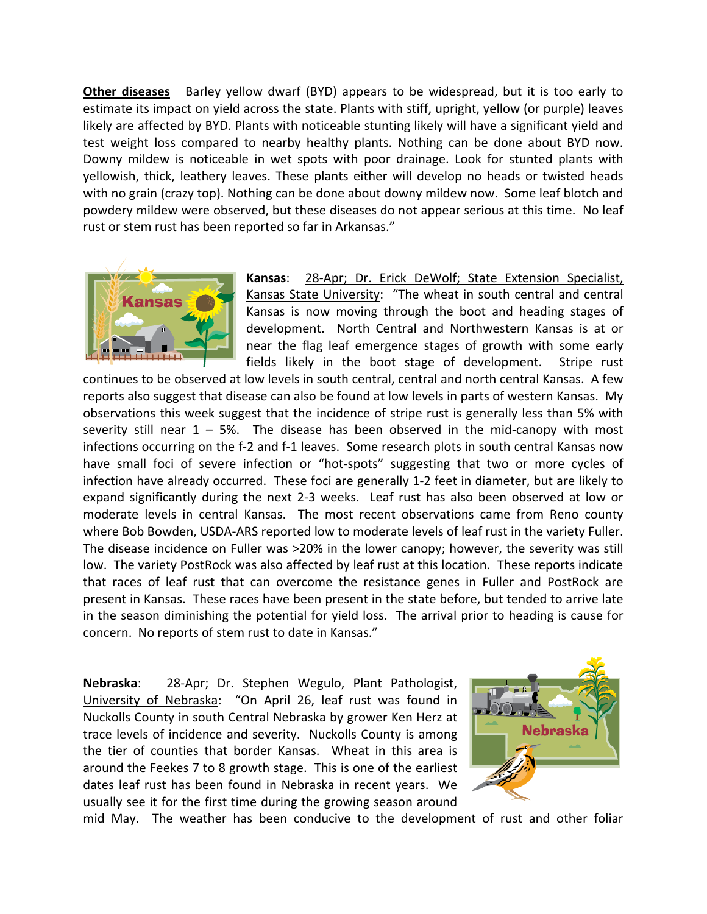**Other diseases**  Barley yellow dwarf (BYD) appears to be widespread, but it is too early to estimate its impact on yield across the state. Plants with stiff, upright, yellow (or purple) leaves likely are affected by BYD. Plants with noticeable stunting likely will have a significant yield and test weight loss compared to nearby healthy plants. Nothing can be done about BYD now. Downy mildew is noticeable in wet spots with poor drainage. Look for stunted plants with yellowish, thick, leathery leaves. These plants either will develop no heads or twisted heads with no grain (crazy top). Nothing can be done about downy mildew now. Some leaf blotch and powdery mildew were observed, but these diseases do not appear serious at this time. No leaf rust or stem rust has been reported so far in Arkansas."



**Kansas**: 28‐Apr; Dr. Erick DeWolf; State Extension Specialist, Kansas State University: "The wheat in south central and central Kansas is now moving through the boot and heading stages of development. North Central and Northwestern Kansas is at or near the flag leaf emergence stages of growth with some early fields likely in the boot stage of development. Stripe rust

continues to be observed at low levels in south central, central and north central Kansas. A few reports also suggest that disease can also be found at low levels in parts of western Kansas. My observations this week suggest that the incidence of stripe rust is generally less than 5% with severity still near  $1 - 5%$ . The disease has been observed in the mid-canopy with most infections occurring on the f-2 and f-1 leaves. Some research plots in south central Kansas now have small foci of severe infection or "hot-spots" suggesting that two or more cycles of infection have already occurred. These foci are generally 1‐2 feet in diameter, but are likely to expand significantly during the next 2-3 weeks. Leaf rust has also been observed at low or moderate levels in central Kansas. The most recent observations came from Reno county where Bob Bowden, USDA‐ARS reported low to moderate levels of leaf rust in the variety Fuller. The disease incidence on Fuller was >20% in the lower canopy; however, the severity was still low. The variety PostRock was also affected by leaf rust at this location. These reports indicate that races of leaf rust that can overcome the resistance genes in Fuller and PostRock are present in Kansas. These races have been present in the state before, but tended to arrive late in the season diminishing the potential for yield loss. The arrival prior to heading is cause for concern. No reports of stem rust to date in Kansas."

**Nebraska**: 28‐Apr; Dr. Stephen Wegulo, Plant Pathologist, University of Nebraska: "On April 26, leaf rust was found in Nuckolls County in south Central Nebraska by grower Ken Herz at trace levels of incidence and severity. Nuckolls County is among the tier of counties that border Kansas. Wheat in this area is around the Feekes 7 to 8 growth stage. This is one of the earliest dates leaf rust has been found in Nebraska in recent years. We usually see it for the first time during the growing season around



mid May. The weather has been conducive to the development of rust and other foliar